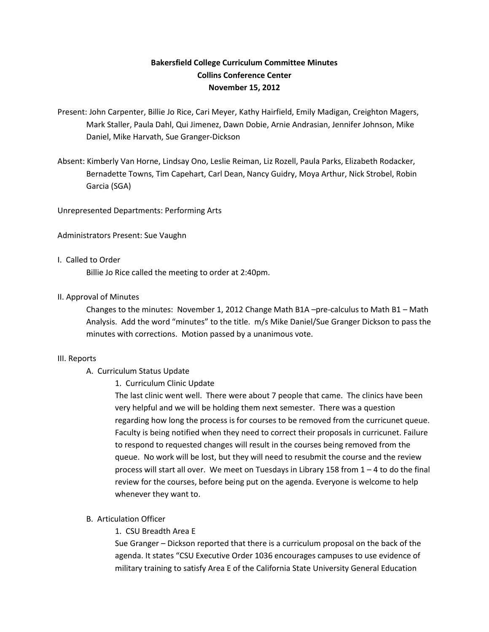# **Bakersfield College Curriculum Committee Minutes Collins Conference Center November 15, 2012**

- Present: John Carpenter, Billie Jo Rice, Cari Meyer, Kathy Hairfield, Emily Madigan, Creighton Magers, Mark Staller, Paula Dahl, Qui Jimenez, Dawn Dobie, Arnie Andrasian, Jennifer Johnson, Mike Daniel, Mike Harvath, Sue Granger-Dickson
- Absent: Kimberly Van Horne, Lindsay Ono, Leslie Reiman, Liz Rozell, Paula Parks, Elizabeth Rodacker, Bernadette Towns, Tim Capehart, Carl Dean, Nancy Guidry, Moya Arthur, Nick Strobel, Robin Garcia (SGA)

Unrepresented Departments: Performing Arts

Administrators Present: Sue Vaughn

# I. Called to Order

Billie Jo Rice called the meeting to order at 2:40pm.

# II. Approval of Minutes

Changes to the minutes: November 1, 2012 Change Math B1A –pre-calculus to Math B1 – Math Analysis. Add the word "minutes" to the title. m/s Mike Daniel/Sue Granger Dickson to pass the minutes with corrections. Motion passed by a unanimous vote.

#### III. Reports

- A. Curriculum Status Update
	- 1. Curriculum Clinic Update

The last clinic went well. There were about 7 people that came. The clinics have been very helpful and we will be holding them next semester. There was a question regarding how long the process is for courses to be removed from the curricunet queue. Faculty is being notified when they need to correct their proposals in curricunet. Failure to respond to requested changes will result in the courses being removed from the queue. No work will be lost, but they will need to resubmit the course and the review process will start all over. We meet on Tuesdays in Library 158 from  $1 - 4$  to do the final review for the courses, before being put on the agenda. Everyone is welcome to help whenever they want to.

# B. Articulation Officer

1. CSU Breadth Area E

Sue Granger – Dickson reported that there is a curriculum proposal on the back of the agenda. It states "CSU Executive Order 1036 encourages campuses to use evidence of military training to satisfy Area E of the California State University General Education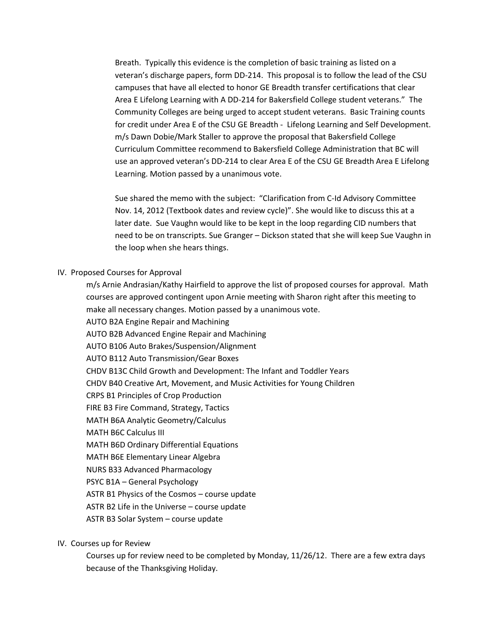Breath. Typically this evidence is the completion of basic training as listed on a veteran's discharge papers, form DD-214. This proposal is to follow the lead of the CSU campuses that have all elected to honor GE Breadth transfer certifications that clear Area E Lifelong Learning with A DD-214 for Bakersfield College student veterans." The Community Colleges are being urged to accept student veterans. Basic Training counts for credit under Area E of the CSU GE Breadth - Lifelong Learning and Self Development. m/s Dawn Dobie/Mark Staller to approve the proposal that Bakersfield College Curriculum Committee recommend to Bakersfield College Administration that BC will use an approved veteran's DD-214 to clear Area E of the CSU GE Breadth Area E Lifelong Learning. Motion passed by a unanimous vote.

Sue shared the memo with the subject: "Clarification from C-Id Advisory Committee Nov. 14, 2012 (Textbook dates and review cycle)". She would like to discuss this at a later date. Sue Vaughn would like to be kept in the loop regarding CID numbers that need to be on transcripts. Sue Granger – Dickson stated that she will keep Sue Vaughn in the loop when she hears things.

# IV. Proposed Courses for Approval

m/s Arnie Andrasian/Kathy Hairfield to approve the list of proposed courses for approval. Math courses are approved contingent upon Arnie meeting with Sharon right after this meeting to make all necessary changes. Motion passed by a unanimous vote. AUTO B2A Engine Repair and Machining AUTO B2B Advanced Engine Repair and Machining AUTO B106 Auto Brakes/Suspension/Alignment AUTO B112 Auto Transmission/Gear Boxes CHDV B13C Child Growth and Development: The Infant and Toddler Years CHDV B40 Creative Art, Movement, and Music Activities for Young Children CRPS B1 Principles of Crop Production FIRE B3 Fire Command, Strategy, Tactics MATH B6A Analytic Geometry/Calculus MATH B6C Calculus III MATH B6D Ordinary Differential Equations MATH B6E Elementary Linear Algebra NURS B33 Advanced Pharmacology PSYC B1A – General Psychology ASTR B1 Physics of the Cosmos – course update ASTR B2 Life in the Universe – course update

ASTR B3 Solar System – course update

#### IV. Courses up for Review

Courses up for review need to be completed by Monday, 11/26/12. There are a few extra days because of the Thanksgiving Holiday.